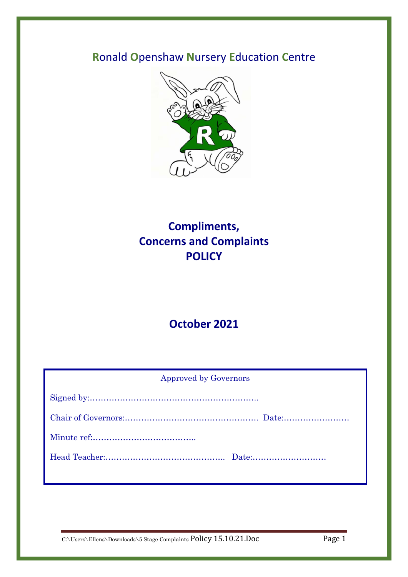# **R**onald **O**penshaw **N**ursery **E**ducation **C**entre



# **Compliments, Concerns and Complaints POLICY**

# **October 2021**

| <b>Approved by Governors</b> |  |
|------------------------------|--|
|                              |  |
|                              |  |
|                              |  |
|                              |  |
|                              |  |

C:\Users\Ellens\Downloads\5 Stage Complaints Policy 15.10.21.Doc Page 1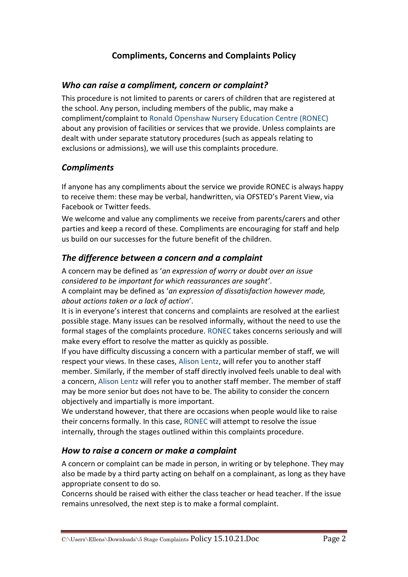# **Compliments, Concerns and Complaints Policy**

#### *Who can raise a compliment, concern or complaint?*

This procedure is not limited to parents or carers of children that are registered at the school. Any person, including members of the public, may make a compliment/complaint to Ronald Openshaw Nursery Education Centre (RONEC) about any provision of facilities or services that we provide. Unless complaints are dealt with under separate statutory procedures (such as appeals relating to exclusions or admissions), we will use this complaints procedure.

## *Compliments*

If anyone has any compliments about the service we provide RONEC is always happy to receive them: these may be verbal, handwritten, via OFSTED's Parent View, via Facebook or Twitter feeds.

We welcome and value any compliments we receive from parents/carers and other parties and keep a record of these. Compliments are encouraging for staff and help us build on our successes for the future benefit of the children.

## *The difference between a concern and a complaint*

A concern may be defined as '*an expression of worry or doubt over an issue considered to be important for which reassurances are sought'*. A complaint may be defined as '*an expression of dissatisfaction however made, about actions taken or a lack of action*'.

It is in everyone's interest that concerns and complaints are resolved at the earliest possible stage. Many issues can be resolved informally, without the need to use the formal stages of the complaints procedure. RONEC takes concerns seriously and will make every effort to resolve the matter as quickly as possible.

If you have difficulty discussing a concern with a particular member of staff, we will respect your views. In these cases, Alison Lentz, will refer you to another staff member. Similarly, if the member of staff directly involved feels unable to deal with a concern, Alison Lentz will refer you to another staff member. The member of staff may be more senior but does not have to be. The ability to consider the concern objectively and impartially is more important.

We understand however, that there are occasions when people would like to raise their concerns formally. In this case, RONEC will attempt to resolve the issue internally, through the stages outlined within this complaints procedure.

## *How to raise a concern or make a complaint*

A concern or complaint can be made in person, in writing or by telephone. They may also be made by a third party acting on behalf on a complainant, as long as they have appropriate consent to do so.

Concerns should be raised with either the class teacher or head teacher. If the issue remains unresolved, the next step is to make a formal complaint.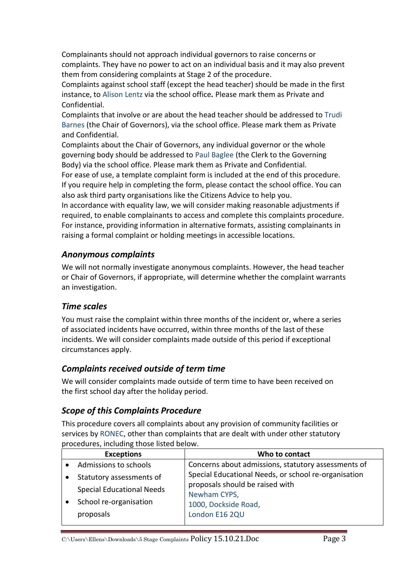Complainants should not approach individual governors to raise concerns or complaints. They have no power to act on an individual basis and it may also prevent them from considering complaints at Stage 2 of the procedure.

Complaints against school staff (except the head teacher) should be made in the first instance, to Alison Lentz via the school office*.* Please mark them as Private and Confidential.

Complaints that involve or are about the head teacher should be addressed to Trudi Barnes (the Chair of Governors), via the school office. Please mark them as Private and Confidential.

Complaints about the Chair of Governors, any individual governor or the whole governing body should be addressed to Paul Baglee (the Clerk to the Governing Body) via the school office. Please mark them as Private and Confidential.

For ease of use, a template complaint form is included at the end of this procedure. If you require help in completing the form, please contact the school office. You can also ask third party organisations like the Citizens Advice to help you.

In accordance with equality law, we will consider making reasonable adjustments if required, to enable complainants to access and complete this complaints procedure. For instance, providing information in alternative formats, assisting complainants in raising a formal complaint or holding meetings in accessible locations.

#### *Anonymous complaints*

We will not normally investigate anonymous complaints. However, the head teacher or Chair of Governors, if appropriate, will determine whether the complaint warrants an investigation.

## *Time scales*

You must raise the complaint within three months of the incident or, where a series of associated incidents have occurred, within three months of the last of these incidents. We will consider complaints made outside of this period if exceptional circumstances apply.

#### *Complaints received outside of term time*

We will consider complaints made outside of term time to have been received on the first school day after the holiday period.

## *Scope of this Complaints Procedure*

This procedure covers all complaints about any provision of community facilities or services by RONEC, other than complaints that are dealt with under other statutory procedures, including those listed below.

| <b>Exceptions</b>                                                                                   | Who to contact                                                                                                                                    |
|-----------------------------------------------------------------------------------------------------|---------------------------------------------------------------------------------------------------------------------------------------------------|
| Admissions to schools                                                                               | Concerns about admissions, statutory assessments of                                                                                               |
| Statutory assessments of<br><b>Special Educational Needs</b><br>School re-organisation<br>proposals | Special Educational Needs, or school re-organisation<br>proposals should be raised with<br>Newham CYPS,<br>1000, Dockside Road,<br>London E16 2QU |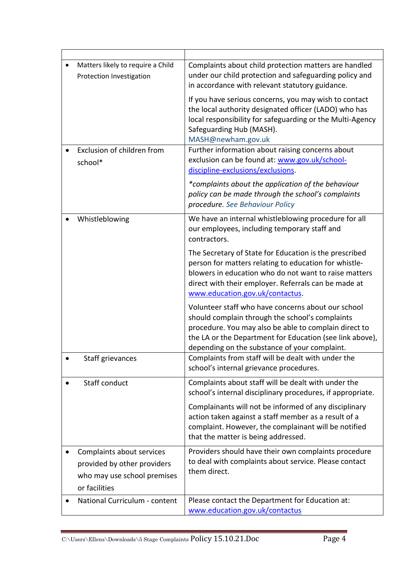|           | Matters likely to require a Child<br>Protection Investigation                                            | Complaints about child protection matters are handled<br>under our child protection and safeguarding policy and<br>in accordance with relevant statutory guidance.                                                                                                          |
|-----------|----------------------------------------------------------------------------------------------------------|-----------------------------------------------------------------------------------------------------------------------------------------------------------------------------------------------------------------------------------------------------------------------------|
|           |                                                                                                          | If you have serious concerns, you may wish to contact<br>the local authority designated officer (LADO) who has<br>local responsibility for safeguarding or the Multi-Agency<br>Safeguarding Hub (MASH).<br>MASH@newham.gov.uk                                               |
|           | Exclusion of children from<br>school*                                                                    | Further information about raising concerns about<br>exclusion can be found at: www.gov.uk/school-<br>discipline-exclusions/exclusions.                                                                                                                                      |
|           |                                                                                                          | *complaints about the application of the behaviour<br>policy can be made through the school's complaints<br>procedure. See Behaviour Policy                                                                                                                                 |
|           | Whistleblowing                                                                                           | We have an internal whistleblowing procedure for all<br>our employees, including temporary staff and<br>contractors.                                                                                                                                                        |
|           |                                                                                                          | The Secretary of State for Education is the prescribed<br>person for matters relating to education for whistle-<br>blowers in education who do not want to raise matters<br>direct with their employer. Referrals can be made at<br>www.education.gov.uk/contactus.         |
|           |                                                                                                          | Volunteer staff who have concerns about our school<br>should complain through the school's complaints<br>procedure. You may also be able to complain direct to<br>the LA or the Department for Education (see link above),<br>depending on the substance of your complaint. |
|           | Staff grievances                                                                                         | Complaints from staff will be dealt with under the<br>school's internal grievance procedures.                                                                                                                                                                               |
|           | Staff conduct                                                                                            | Complaints about staff will be dealt with under the<br>school's internal disciplinary procedures, if appropriate.                                                                                                                                                           |
|           |                                                                                                          | Complainants will not be informed of any disciplinary<br>action taken against a staff member as a result of a<br>complaint. However, the complainant will be notified<br>that the matter is being addressed.                                                                |
| $\bullet$ | Complaints about services<br>provided by other providers<br>who may use school premises<br>or facilities | Providers should have their own complaints procedure<br>to deal with complaints about service. Please contact<br>them direct.                                                                                                                                               |
|           | National Curriculum - content                                                                            | Please contact the Department for Education at:<br>www.education.gov.uk/contactus                                                                                                                                                                                           |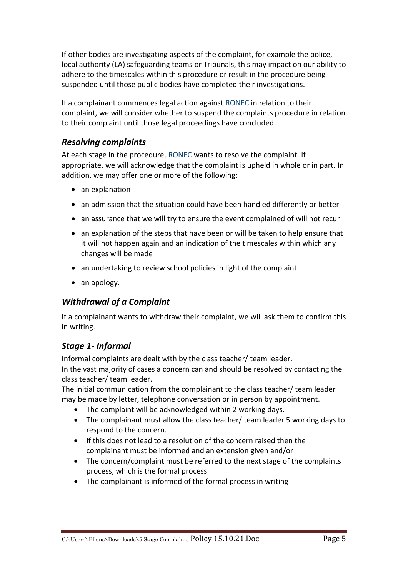If other bodies are investigating aspects of the complaint, for example the police, local authority (LA) safeguarding teams or Tribunals, this may impact on our ability to adhere to the timescales within this procedure or result in the procedure being suspended until those public bodies have completed their investigations.

If a complainant commences legal action against RONEC in relation to their complaint, we will consider whether to suspend the complaints procedure in relation to their complaint until those legal proceedings have concluded.

## *Resolving complaints*

At each stage in the procedure, RONEC wants to resolve the complaint. If appropriate, we will acknowledge that the complaint is upheld in whole or in part. In addition, we may offer one or more of the following:

- an explanation
- an admission that the situation could have been handled differently or better
- an assurance that we will try to ensure the event complained of will not recur
- an explanation of the steps that have been or will be taken to help ensure that it will not happen again and an indication of the timescales within which any changes will be made
- an undertaking to review school policies in light of the complaint
- an apology.

# *Withdrawal of a Complaint*

If a complainant wants to withdraw their complaint, we will ask them to confirm this in writing.

# *Stage 1- Informal*

Informal complaints are dealt with by the class teacher/ team leader. In the vast majority of cases a concern can and should be resolved by contacting the class teacher/ team leader.

The initial communication from the complainant to the class teacher/ team leader may be made by letter, telephone conversation or in person by appointment.

- The complaint will be acknowledged within 2 working days.
- The complainant must allow the class teacher/ team leader 5 working days to respond to the concern.
- If this does not lead to a resolution of the concern raised then the complainant must be informed and an extension given and/or
- The concern/complaint must be referred to the next stage of the complaints process, which is the formal process
- The complainant is informed of the formal process in writing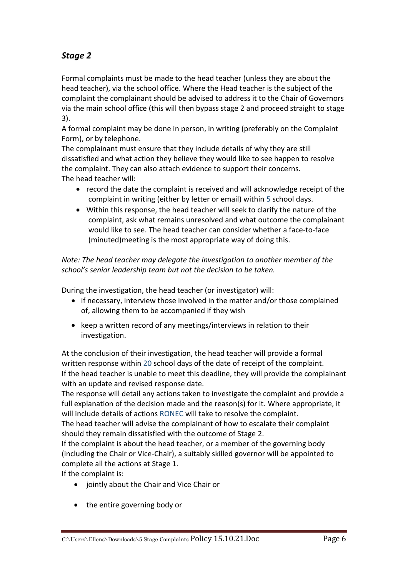# *Stage 2*

Formal complaints must be made to the head teacher (unless they are about the head teacher), via the school office. Where the Head teacher is the subject of the complaint the complainant should be advised to address it to the Chair of Governors via the main school office (this will then bypass stage 2 and proceed straight to stage 3).

A formal complaint may be done in person, in writing (preferably on the Complaint Form), or by telephone.

The complainant must ensure that they include details of why they are still dissatisfied and what action they believe they would like to see happen to resolve the complaint. They can also attach evidence to support their concerns. The head teacher will:

- record the date the complaint is received and will acknowledge receipt of the complaint in writing (either by letter or email) within 5 school days.
- Within this response, the head teacher will seek to clarify the nature of the complaint, ask what remains unresolved and what outcome the complainant would like to see. The head teacher can consider whether a face-to-face (minuted)meeting is the most appropriate way of doing this.

*Note: The head teacher may delegate the investigation to another member of the school's senior leadership team but not the decision to be taken.*

During the investigation, the head teacher (or investigator) will:

- if necessary, interview those involved in the matter and/or those complained of, allowing them to be accompanied if they wish
- keep a written record of any meetings/interviews in relation to their investigation.

At the conclusion of their investigation, the head teacher will provide a formal written response within 20 school days of the date of receipt of the complaint. If the head teacher is unable to meet this deadline, they will provide the complainant with an update and revised response date.

The response will detail any actions taken to investigate the complaint and provide a full explanation of the decision made and the reason(s) for it. Where appropriate, it will include details of actions RONEC will take to resolve the complaint.

The head teacher will advise the complainant of how to escalate their complaint should they remain dissatisfied with the outcome of Stage 2.

If the complaint is about the head teacher, or a member of the governing body (including the Chair or Vice-Chair), a suitably skilled governor will be appointed to complete all the actions at Stage 1.

If the complaint is:

- jointly about the Chair and Vice Chair or
- the entire governing body or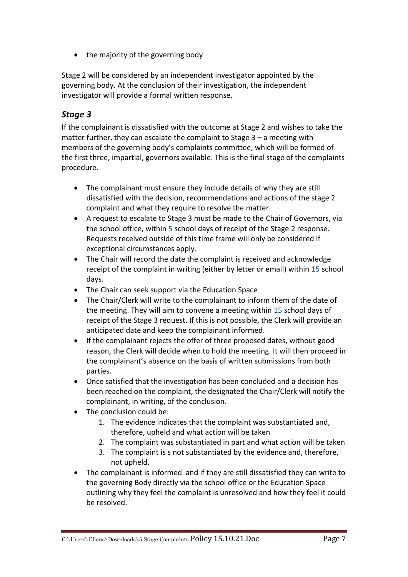• the majority of the governing body

Stage 2 will be considered by an independent investigator appointed by the governing body. At the conclusion of their investigation, the independent investigator will provide a formal written response.

# *Stage 3*

If the complainant is dissatisfied with the outcome at Stage 2 and wishes to take the matter further, they can escalate the complaint to Stage 3 – a meeting with members of the governing body's complaints committee, which will be formed of the first three, impartial, governors available. This is the final stage of the complaints procedure.

- The complainant must ensure they include details of why they are still dissatisfied with the decision, recommendations and actions of the stage 2 complaint and what they require to resolve the matter.
- A request to escalate to Stage 3 must be made to the Chair of Governors, via the school office, within 5 school days of receipt of the Stage 2 response. Requests received outside of this time frame will only be considered if exceptional circumstances apply.
- The Chair will record the date the complaint is received and acknowledge receipt of the complaint in writing (either by letter or email) within 15 school days.
- The Chair can seek support via the Education Space
- The Chair/Clerk will write to the complainant to inform them of the date of the meeting. They will aim to convene a meeting within 15 school days of receipt of the Stage 3 request. If this is not possible, the Clerk will provide an anticipated date and keep the complainant informed.
- If the complainant rejects the offer of three proposed dates, without good reason, the Clerk will decide when to hold the meeting. It will then proceed in the complainant's absence on the basis of written submissions from both parties.
- Once satisfied that the investigation has been concluded and a decision has been reached on the complaint, the designated the Chair/Clerk will notify the complainant, in writing, of the conclusion.
- The conclusion could be:
	- 1. The evidence indicates that the complaint was substantiated and, therefore, upheld and what action will be taken
	- 2. The complaint was substantiated in part and what action will be taken
	- 3. The complaint is s not substantiated by the evidence and, therefore, not upheld.
- The complainant is informed and if they are still dissatisfied they can write to the governing Body directly via the school office or the Education Space outlining why they feel the complaint is unresolved and how they feel it could be resolved.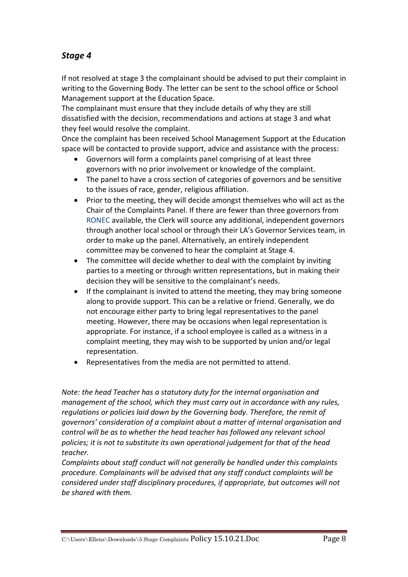# *Stage 4*

If not resolved at stage 3 the complainant should be advised to put their complaint in writing to the Governing Body. The letter can be sent to the school office or School Management support at the Education Space.

The complainant must ensure that they include details of why they are still dissatisfied with the decision, recommendations and actions at stage 3 and what they feel would resolve the complaint.

Once the complaint has been received School Management Support at the Education space will be contacted to provide support, advice and assistance with the process:

- Governors will form a complaints panel comprising of at least three governors with no prior involvement or knowledge of the complaint.
- The panel to have a cross section of categories of governors and be sensitive to the issues of race, gender, religious affiliation.
- Prior to the meeting, they will decide amongst themselves who will act as the Chair of the Complaints Panel. If there are fewer than three governors from RONEC available, the Clerk will source any additional, independent governors through another local school or through their LA's Governor Services team, in order to make up the panel. Alternatively, an entirely independent committee may be convened to hear the complaint at Stage 4.
- The committee will decide whether to deal with the complaint by inviting parties to a meeting or through written representations, but in making their decision they will be sensitive to the complainant's needs.
- If the complainant is invited to attend the meeting, they may bring someone along to provide support. This can be a relative or friend. Generally, we do not encourage either party to bring legal representatives to the panel meeting. However, there may be occasions when legal representation is appropriate. For instance, if a school employee is called as a witness in a complaint meeting, they may wish to be supported by union and/or legal representation.
- Representatives from the media are not permitted to attend.

*Note: the head Teacher has a statutory duty for the internal organisation and management of the school, which they must carry out in accordance with any rules, regulations or policies laid down by the Governing body. Therefore, the remit of governors' consideration of a complaint about a matter of internal organisation and control will be as to whether the head teacher has followed any relevant school policies; it is not to substitute its own operational judgement for that of the head teacher.*

*Complaints about staff conduct will not generally be handled under this complaints procedure. Complainants will be advised that any staff conduct complaints will be considered under staff disciplinary procedures, if appropriate, but outcomes will not be shared with them.*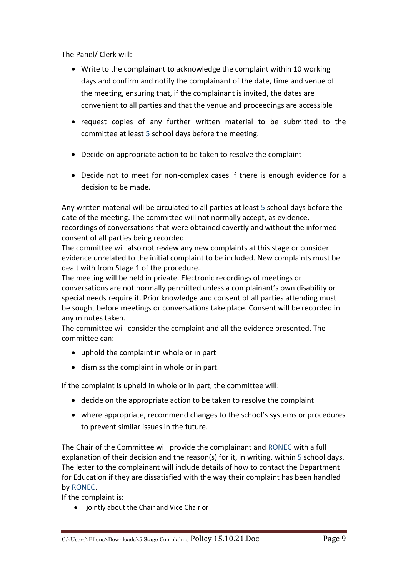The Panel/ Clerk will:

- Write to the complainant to acknowledge the complaint within 10 working days and confirm and notify the complainant of the date, time and venue of the meeting, ensuring that, if the complainant is invited, the dates are convenient to all parties and that the venue and proceedings are accessible
- request copies of any further written material to be submitted to the committee at least 5 school days before the meeting.
- Decide on appropriate action to be taken to resolve the complaint
- Decide not to meet for non-complex cases if there is enough evidence for a decision to be made.

Any written material will be circulated to all parties at least 5 school days before the date of the meeting. The committee will not normally accept, as evidence, recordings of conversations that were obtained covertly and without the informed consent of all parties being recorded.

The committee will also not review any new complaints at this stage or consider evidence unrelated to the initial complaint to be included. New complaints must be dealt with from Stage 1 of the procedure.

The meeting will be held in private. Electronic recordings of meetings or conversations are not normally permitted unless a complainant's own disability or special needs require it. Prior knowledge and consent of all parties attending must be sought before meetings or conversations take place. Consent will be recorded in any minutes taken.

The committee will consider the complaint and all the evidence presented. The committee can:

- uphold the complaint in whole or in part
- dismiss the complaint in whole or in part.

If the complaint is upheld in whole or in part, the committee will:

- decide on the appropriate action to be taken to resolve the complaint
- where appropriate, recommend changes to the school's systems or procedures to prevent similar issues in the future.

The Chair of the Committee will provide the complainant and RONEC with a full explanation of their decision and the reason(s) for it, in writing, within 5 school days. The letter to the complainant will include details of how to contact the Department for Education if they are dissatisfied with the way their complaint has been handled by RONEC.

If the complaint is:

• jointly about the Chair and Vice Chair or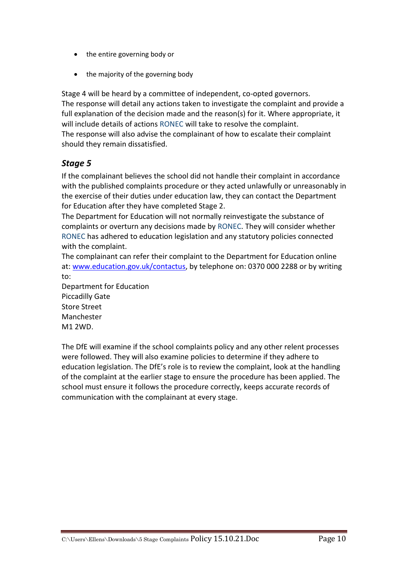- the entire governing body or
- the majority of the governing body

Stage 4 will be heard by a committee of independent, co-opted governors. The response will detail any actions taken to investigate the complaint and provide a full explanation of the decision made and the reason(s) for it. Where appropriate, it will include details of actions RONEC will take to resolve the complaint. The response will also advise the complainant of how to escalate their complaint should they remain dissatisfied.

## *Stage 5*

If the complainant believes the school did not handle their complaint in accordance with the published complaints procedure or they acted unlawfully or unreasonably in the exercise of their duties under education law, they can contact the Department for Education after they have completed Stage 2.

The Department for Education will not normally reinvestigate the substance of complaints or overturn any decisions made by RONEC. They will consider whether RONEC has adhered to education legislation and any statutory policies connected with the complaint.

The complainant can refer their complaint to the Department for Education online at[: www.education.gov.uk/contactus,](http://www.education.gov.uk/contactus) by telephone on: 0370 000 2288 or by writing to:

Department for Education Piccadilly Gate Store Street Manchester M1 2WD.

The DfE will examine if the school complaints policy and any other relent processes were followed. They will also examine policies to determine if they adhere to education legislation. The DfE's role is to review the complaint, look at the handling of the complaint at the earlier stage to ensure the procedure has been applied. The school must ensure it follows the procedure correctly, keeps accurate records of communication with the complainant at every stage.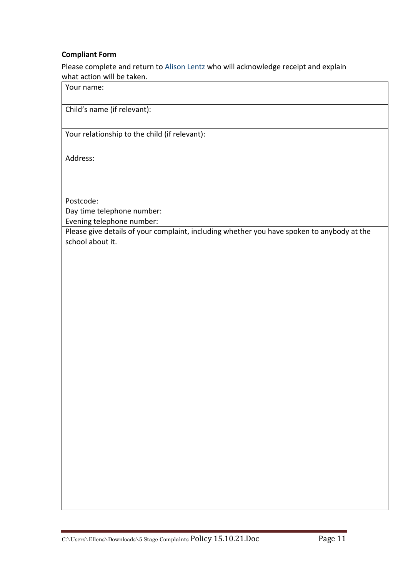#### **Compliant Form**

Please complete and return to Alison Lentz who will acknowledge receipt and explain what action will be taken.

Your name:

Child's name (if relevant):

Your relationship to the child (if relevant):

Address:

Postcode: Day time telephone number:

Evening telephone number:

Please give details of your complaint, including whether you have spoken to anybody at the school about it.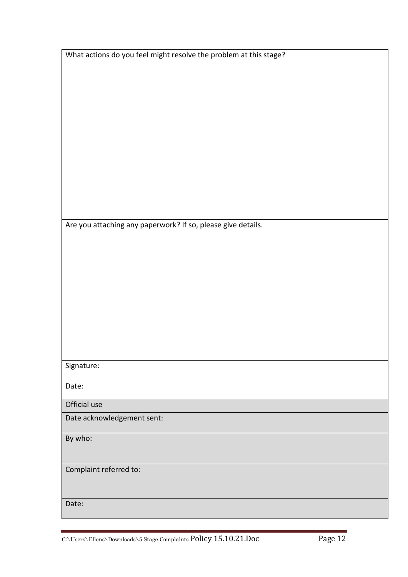| What actions do you feel might resolve the problem at this stage? |  |  |
|-------------------------------------------------------------------|--|--|
|                                                                   |  |  |
|                                                                   |  |  |
|                                                                   |  |  |
|                                                                   |  |  |
|                                                                   |  |  |
|                                                                   |  |  |
|                                                                   |  |  |
|                                                                   |  |  |
|                                                                   |  |  |
|                                                                   |  |  |
|                                                                   |  |  |
|                                                                   |  |  |
|                                                                   |  |  |
|                                                                   |  |  |
| Are you attaching any paperwork? If so, please give details.      |  |  |
|                                                                   |  |  |
|                                                                   |  |  |
|                                                                   |  |  |
|                                                                   |  |  |
|                                                                   |  |  |
|                                                                   |  |  |
|                                                                   |  |  |
|                                                                   |  |  |
|                                                                   |  |  |
|                                                                   |  |  |
|                                                                   |  |  |
| Signature:                                                        |  |  |
|                                                                   |  |  |
| Date:                                                             |  |  |
| Official use                                                      |  |  |
| Date acknowledgement sent:                                        |  |  |
|                                                                   |  |  |
| By who:                                                           |  |  |
|                                                                   |  |  |
|                                                                   |  |  |
| Complaint referred to:                                            |  |  |
|                                                                   |  |  |
|                                                                   |  |  |
| Date:                                                             |  |  |
|                                                                   |  |  |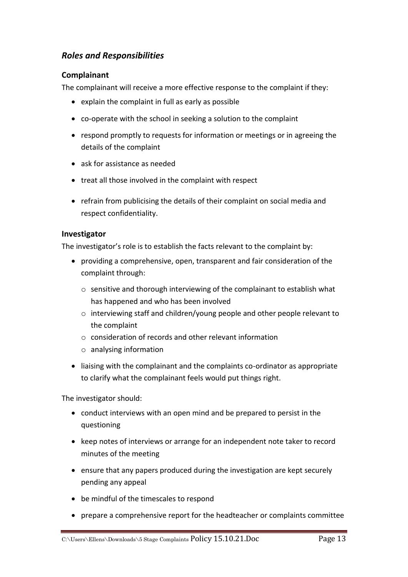## *Roles and Responsibilities*

#### **Complainant**

The complainant will receive a more effective response to the complaint if they:

- explain the complaint in full as early as possible
- co-operate with the school in seeking a solution to the complaint
- respond promptly to requests for information or meetings or in agreeing the details of the complaint
- ask for assistance as needed
- treat all those involved in the complaint with respect
- refrain from publicising the details of their complaint on social media and respect confidentiality.

#### **Investigator**

The investigator's role is to establish the facts relevant to the complaint by:

- providing a comprehensive, open, transparent and fair consideration of the complaint through:
	- o sensitive and thorough interviewing of the complainant to establish what has happened and who has been involved
	- o interviewing staff and children/young people and other people relevant to the complaint
	- o consideration of records and other relevant information
	- o analysing information
- liaising with the complainant and the complaints co-ordinator as appropriate to clarify what the complainant feels would put things right.

The investigator should:

- conduct interviews with an open mind and be prepared to persist in the questioning
- keep notes of interviews or arrange for an independent note taker to record minutes of the meeting
- ensure that any papers produced during the investigation are kept securely pending any appeal
- be mindful of the timescales to respond
- prepare a comprehensive report for the headteacher or complaints committee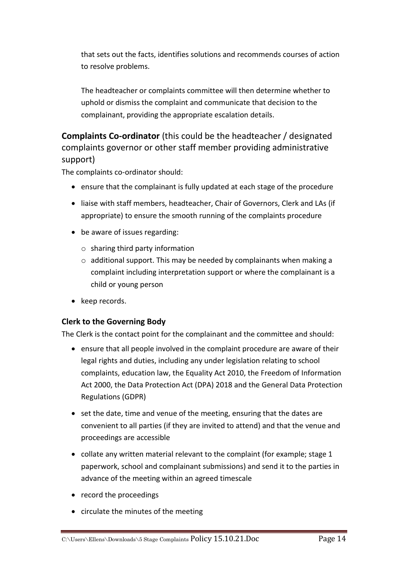that sets out the facts, identifies solutions and recommends courses of action to resolve problems.

The headteacher or complaints committee will then determine whether to uphold or dismiss the complaint and communicate that decision to the complainant, providing the appropriate escalation details.

**Complaints Co-ordinator** (this could be the headteacher / designated complaints governor or other staff member providing administrative support)

The complaints co-ordinator should:

- ensure that the complainant is fully updated at each stage of the procedure
- liaise with staff members, headteacher, Chair of Governors, Clerk and LAs (if appropriate) to ensure the smooth running of the complaints procedure
- be aware of issues regarding:
	- $\circ$  sharing third party information
	- o additional support. This may be needed by complainants when making a complaint including interpretation support or where the complainant is a child or young person
- keep records.

#### **Clerk to the Governing Body**

The Clerk is the contact point for the complainant and the committee and should:

- ensure that all people involved in the complaint procedure are aware of their legal rights and duties, including any under legislation relating to school complaints, education law, the Equality Act 2010, the Freedom of Information Act 2000, the Data Protection Act (DPA) 2018 and the General Data Protection Regulations (GDPR)
- set the date, time and venue of the meeting, ensuring that the dates are convenient to all parties (if they are invited to attend) and that the venue and proceedings are accessible
- collate any written material relevant to the complaint (for example; stage 1 paperwork, school and complainant submissions) and send it to the parties in advance of the meeting within an agreed timescale
- record the proceedings
- circulate the minutes of the meeting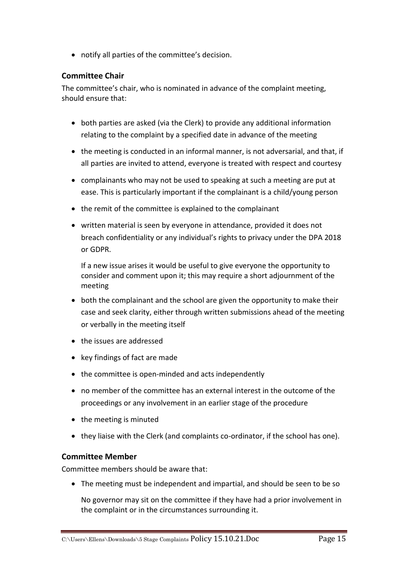notify all parties of the committee's decision.

#### **Committee Chair**

The committee's chair, who is nominated in advance of the complaint meeting, should ensure that:

- both parties are asked (via the Clerk) to provide any additional information relating to the complaint by a specified date in advance of the meeting
- the meeting is conducted in an informal manner, is not adversarial, and that, if all parties are invited to attend, everyone is treated with respect and courtesy
- complainants who may not be used to speaking at such a meeting are put at ease. This is particularly important if the complainant is a child/young person
- the remit of the committee is explained to the complainant
- written material is seen by everyone in attendance, provided it does not breach confidentiality or any individual's rights to privacy under the DPA 2018 or GDPR.

If a new issue arises it would be useful to give everyone the opportunity to consider and comment upon it; this may require a short adjournment of the meeting

- both the complainant and the school are given the opportunity to make their case and seek clarity, either through written submissions ahead of the meeting or verbally in the meeting itself
- the issues are addressed
- key findings of fact are made
- the committee is open-minded and acts independently
- no member of the committee has an external interest in the outcome of the proceedings or any involvement in an earlier stage of the procedure
- $\bullet$  the meeting is minuted
- they liaise with the Clerk (and complaints co-ordinator, if the school has one).

#### **Committee Member**

Committee members should be aware that:

The meeting must be independent and impartial, and should be seen to be so

No governor may sit on the committee if they have had a prior involvement in the complaint or in the circumstances surrounding it.